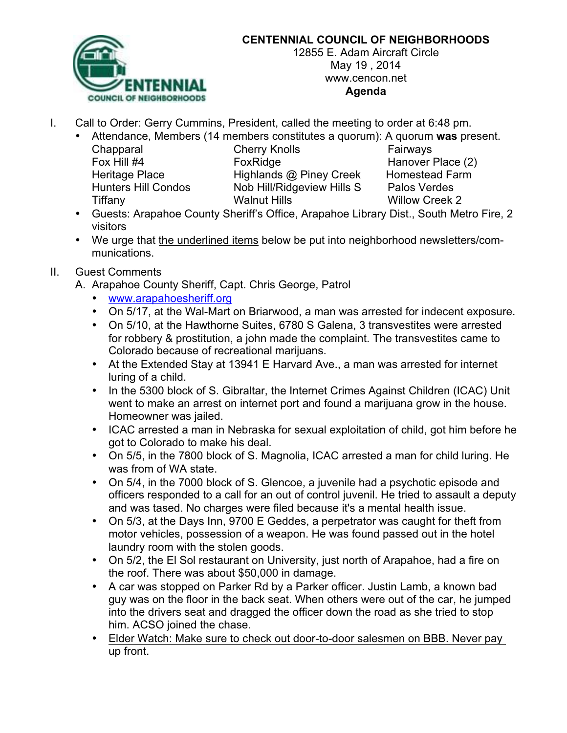

## **CENTENNIAL COUNCIL OF NEIGHBORHOODS**

12855 E. Adam Aircraft Circle May 19 , 2014 www.cencon.net **Agenda**

I. Call to Order: Gerry Cummins, President, called the meeting to order at 6:48 pm.

• Attendance, Members (14 members constitutes a quorum): A quorum **was** present.

Chapparal Cherry Knolls Fairways Tiffany **Walnut Hills** Walnut Hills Willow Creek 2

Fox Hill #4 FoxRidge Forest Hanover Place (2) Heritage Place **Highlands @ Piney Creek** Homestead Farm Hunters Hill Condos Nob Hill/Ridgeview Hills S Palos Verdes

- Guests: Arapahoe County Sheriff's Office, Arapahoe Library Dist., South Metro Fire, 2 visitors
- We urge that the underlined items below be put into neighborhood newsletters/communications.

## II. Guest Comments

- A. Arapahoe County Sheriff, Capt. Chris George, Patrol
	- www.arapahoesheriff.org
	- On 5/17, at the Wal-Mart on Briarwood, a man was arrested for indecent exposure.
	- On 5/10, at the Hawthorne Suites, 6780 S Galena, 3 transvestites were arrested for robbery & prostitution, a john made the complaint. The transvestites came to Colorado because of recreational marijuans.
	- At the Extended Stay at 13941 E Harvard Ave., a man was arrested for internet luring of a child.
	- In the 5300 block of S. Gibraltar, the Internet Crimes Against Children (ICAC) Unit went to make an arrest on internet port and found a marijuana grow in the house. Homeowner was jailed.
	- ICAC arrested a man in Nebraska for sexual exploitation of child, got him before he got to Colorado to make his deal.
	- On 5/5, in the 7800 block of S. Magnolia, ICAC arrested a man for child luring. He was from of WA state.
	- On 5/4, in the 7000 block of S. Glencoe, a juvenile had a psychotic episode and officers responded to a call for an out of control juvenil. He tried to assault a deputy and was tased. No charges were filed because it's a mental health issue.
	- On 5/3, at the Days Inn, 9700 E Geddes, a perpetrator was caught for theft from motor vehicles, possession of a weapon. He was found passed out in the hotel laundry room with the stolen goods.
	- On 5/2, the El Sol restaurant on University, just north of Arapahoe, had a fire on the roof. There was about \$50,000 in damage.
	- A car was stopped on Parker Rd by a Parker officer. Justin Lamb, a known bad guy was on the floor in the back seat. When others were out of the car, he jumped into the drivers seat and dragged the officer down the road as she tried to stop him. ACSO joined the chase.
	- Elder Watch: Make sure to check out door-to-door salesmen on BBB. Never pay up front.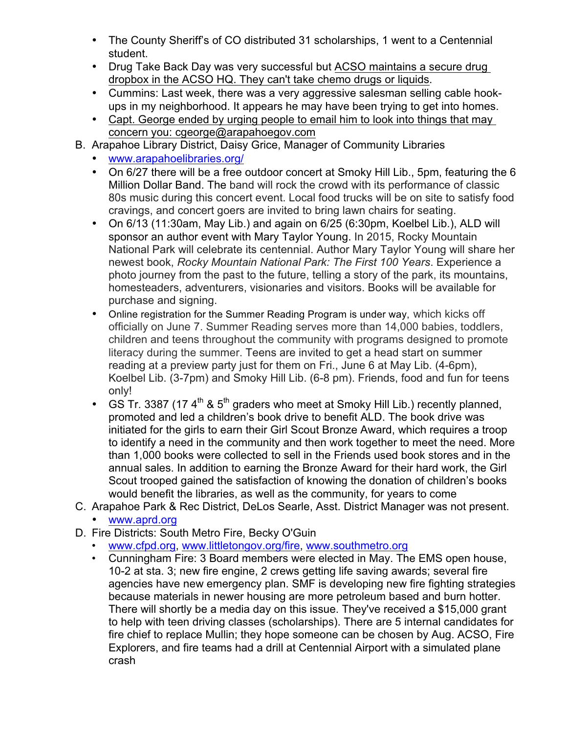- The County Sheriff's of CO distributed 31 scholarships, 1 went to a Centennial student.
- Drug Take Back Day was very successful but ACSO maintains a secure drug dropbox in the ACSO HQ. They can't take chemo drugs or liquids.
- Cummins: Last week, there was a very aggressive salesman selling cable hookups in my neighborhood. It appears he may have been trying to get into homes.
- Capt. George ended by urging people to email him to look into things that may concern you: cgeorge@arapahoegov.com
- B. Arapahoe Library District, Daisy Grice, Manager of Community Libraries
	- www.arapahoelibraries.org/
	- On 6/27 there will be a free outdoor concert at Smoky Hill Lib., 5pm, featuring the 6 Million Dollar Band. The band will rock the crowd with its performance of classic 80s music during this concert event. Local food trucks will be on site to satisfy food cravings, and concert goers are invited to bring lawn chairs for seating.
	- On 6/13 (11:30am, May Lib.) and again on 6/25 (6:30pm, Koelbel Lib.), ALD will sponsor an author event with Mary Taylor Young. In 2015, Rocky Mountain National Park will celebrate its centennial. Author Mary Taylor Young will share her newest book, *Rocky Mountain National Park: The First 100 Years*. Experience a photo journey from the past to the future, telling a story of the park, its mountains, homesteaders, adventurers, visionaries and visitors. Books will be available for purchase and signing.
	- Online registration for the Summer Reading Program is under way, which kicks off officially on June 7. Summer Reading serves more than 14,000 babies, toddlers, children and teens throughout the community with programs designed to promote literacy during the summer. Teens are invited to get a head start on summer reading at a preview party just for them on Fri., June 6 at May Lib. (4-6pm), Koelbel Lib. (3-7pm) and Smoky Hill Lib. (6-8 pm). Friends, food and fun for teens only!
	- GS Tr. 3387 (17  $4^{\text{th}}$  &  $5^{\text{th}}$  graders who meet at Smoky Hill Lib.) recently planned, promoted and led a children's book drive to benefit ALD. The book drive was initiated for the girls to earn their Girl Scout Bronze Award, which requires a troop to identify a need in the community and then work together to meet the need. More than 1,000 books were collected to sell in the Friends used book stores and in the annual sales. In addition to earning the Bronze Award for their hard work, the Girl Scout trooped gained the satisfaction of knowing the donation of children's books would benefit the libraries, as well as the community, for years to come
- C. Arapahoe Park & Rec District, DeLos Searle, Asst. District Manager was not present. • www.aprd.org
- D. Fire Districts: South Metro Fire, Becky O'Guin
	- www.cfpd.org, www.littletongov.org/fire, www.southmetro.org
	- Cunningham Fire: 3 Board members were elected in May. The EMS open house, 10-2 at sta. 3; new fire engine, 2 crews getting life saving awards; several fire agencies have new emergency plan. SMF is developing new fire fighting strategies because materials in newer housing are more petroleum based and burn hotter. There will shortly be a media day on this issue. They've received a \$15,000 grant to help with teen driving classes (scholarships). There are 5 internal candidates for fire chief to replace Mullin; they hope someone can be chosen by Aug. ACSO, Fire Explorers, and fire teams had a drill at Centennial Airport with a simulated plane crash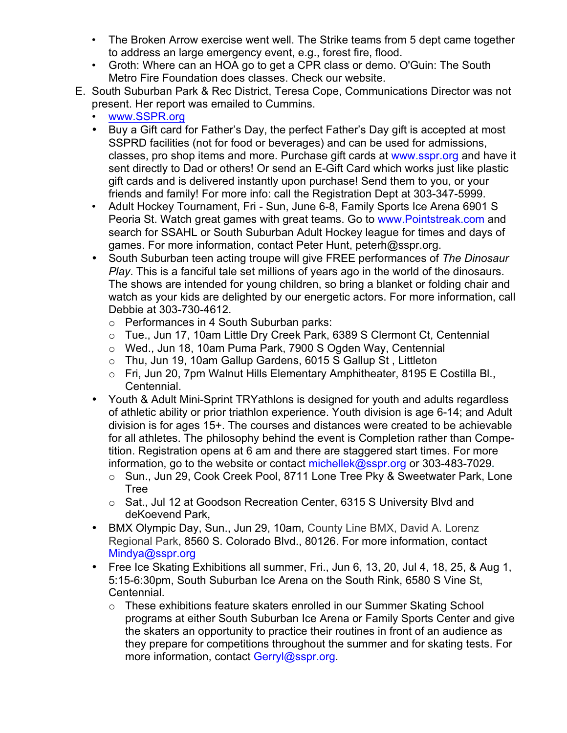- The Broken Arrow exercise went well. The Strike teams from 5 dept came together to address an large emergency event, e.g., forest fire, flood.
- Groth: Where can an HOA go to get a CPR class or demo. O'Guin: The South Metro Fire Foundation does classes. Check our website.
- E. South Suburban Park & Rec District, Teresa Cope, Communications Director was not present. Her report was emailed to Cummins.
	- www.SSPR.org
	- Buy a Gift card for Father's Day, the perfect Father's Day gift is accepted at most SSPRD facilities (not for food or beverages) and can be used for admissions, classes, pro shop items and more. Purchase gift cards at www.sspr.org and have it sent directly to Dad or others! Or send an E-Gift Card which works just like plastic gift cards and is delivered instantly upon purchase! Send them to you, or your friends and family! For more info: call the Registration Dept at 303-347-5999.
	- Adult Hockey Tournament, Fri Sun, June 6-8, Family Sports Ice Arena 6901 S Peoria St. Watch great games with great teams. Go to www.Pointstreak.com and search for SSAHL or South Suburban Adult Hockey league for times and days of games. For more information, contact Peter Hunt, peterh@sspr.org.
	- South Suburban teen acting troupe will give FREE performances of *The Dinosaur Play*. This is a fanciful tale set millions of years ago in the world of the dinosaurs. The shows are intended for young children, so bring a blanket or folding chair and watch as your kids are delighted by our energetic actors. For more information, call Debbie at 303-730-4612.
		- o Performances in 4 South Suburban parks:
		- o Tue., Jun 17, 10am Little Dry Creek Park, 6389 S Clermont Ct, Centennial
		- o Wed., Jun 18, 10am Puma Park, 7900 S Ogden Way, Centennial
		- o Thu, Jun 19, 10am Gallup Gardens, 6015 S Gallup St , Littleton
		- o Fri, Jun 20, 7pm Walnut Hills Elementary Amphitheater, 8195 E Costilla Bl., Centennial.
	- Youth & Adult Mini-Sprint TRYathlons is designed for youth and adults regardless of athletic ability or prior triathlon experience. Youth division is age 6-14; and Adult division is for ages 15+. The courses and distances were created to be achievable for all athletes. The philosophy behind the event is Completion rather than Competition. Registration opens at 6 am and there are staggered start times. For more information, go to the website or contact michellek@sspr.org or 303-483-7029**.**
		- o Sun., Jun 29, Cook Creek Pool, 8711 Lone Tree Pky & Sweetwater Park, Lone Tree
		- o Sat., Jul 12 at Goodson Recreation Center, 6315 S University Blvd and deKoevend Park,
	- BMX Olympic Day, Sun., Jun 29, 10am, County Line BMX, David A. Lorenz Regional Park, 8560 S. Colorado Blvd., 80126. For more information, contact Mindya@sspr.org
	- Free Ice Skating Exhibitions all summer, Fri., Jun 6, 13, 20, Jul 4, 18, 25, & Aug 1, 5:15-6:30pm, South Suburban Ice Arena on the South Rink, 6580 S Vine St, Centennial.
		- o These exhibitions feature skaters enrolled in our Summer Skating School programs at either South Suburban Ice Arena or Family Sports Center and give the skaters an opportunity to practice their routines in front of an audience as they prepare for competitions throughout the summer and for skating tests. For more information, contact Gerryl@sspr.org.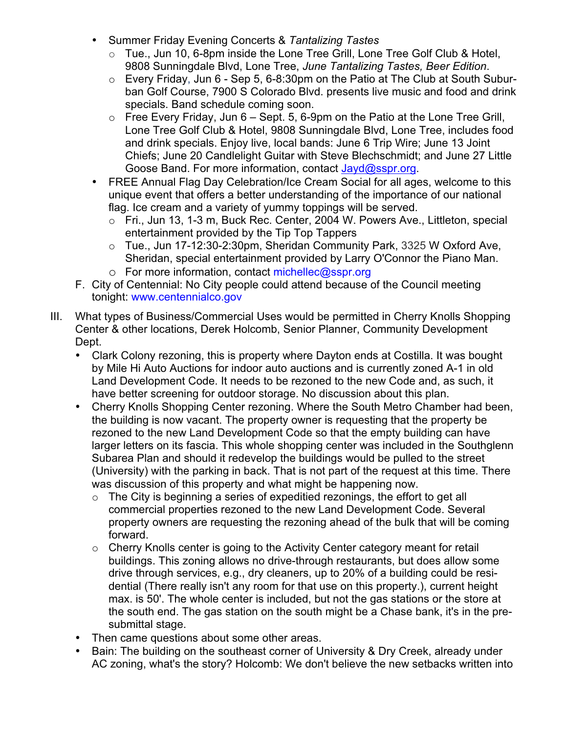- Summer Friday Evening Concerts & *Tantalizing Tastes*
	- o Tue., Jun 10, 6-8pm inside the Lone Tree Grill, Lone Tree Golf Club & Hotel, 9808 Sunningdale Blvd, Lone Tree, *June Tantalizing Tastes, Beer Edition*.
	- $\circ$  Every Friday, Jun 6 Sep 5, 6-8:30pm on the Patio at The Club at South Suburban Golf Course, 7900 S Colorado Blvd. presents live music and food and drink specials. Band schedule coming soon.
	- $\circ$  Free Every Friday, Jun 6 Sept. 5, 6-9pm on the Patio at the Lone Tree Grill, Lone Tree Golf Club & Hotel, 9808 Sunningdale Blvd, Lone Tree, includes food and drink specials. Enjoy live, local bands: June 6 Trip Wire; June 13 Joint Chiefs; June 20 Candlelight Guitar with Steve Blechschmidt; and June 27 Little Goose Band. For more information, contact Jayd@sspr.org.
- FREE Annual Flag Day Celebration/Ice Cream Social for all ages, welcome to this unique event that offers a better understanding of the importance of our national flag. Ice cream and a variety of yummy toppings will be served.
	- o Fri., Jun 13, 1-3 m, Buck Rec. Center, 2004 W. Powers Ave., Littleton, special entertainment provided by the Tip Top Tappers
	- o Tue., Jun 17-12:30-2:30pm, Sheridan Community Park, 3325 W Oxford Ave, Sheridan, special entertainment provided by Larry O'Connor the Piano Man.
	- o For more information, contact michellec@sspr.org
- F. City of Centennial: No City people could attend because of the Council meeting tonight: www.centennialco.gov
- III. What types of Business/Commercial Uses would be permitted in Cherry Knolls Shopping Center & other locations, Derek Holcomb, Senior Planner, Community Development Dept.
	- Clark Colony rezoning, this is property where Dayton ends at Costilla. It was bought by Mile Hi Auto Auctions for indoor auto auctions and is currently zoned A-1 in old Land Development Code. It needs to be rezoned to the new Code and, as such, it have better screening for outdoor storage. No discussion about this plan.
	- Cherry Knolls Shopping Center rezoning. Where the South Metro Chamber had been, the building is now vacant. The property owner is requesting that the property be rezoned to the new Land Development Code so that the empty building can have larger letters on its fascia. This whole shopping center was included in the Southglenn Subarea Plan and should it redevelop the buildings would be pulled to the street (University) with the parking in back. That is not part of the request at this time. There was discussion of this property and what might be happening now.
		- $\circ$  The City is beginning a series of expeditied rezonings, the effort to get all commercial properties rezoned to the new Land Development Code. Several property owners are requesting the rezoning ahead of the bulk that will be coming forward.
		- $\circ$  Cherry Knolls center is going to the Activity Center category meant for retail buildings. This zoning allows no drive-through restaurants, but does allow some drive through services, e.g., dry cleaners, up to 20% of a building could be residential (There really isn't any room for that use on this property.), current height max. is 50'. The whole center is included, but not the gas stations or the store at the south end. The gas station on the south might be a Chase bank, it's in the presubmittal stage.
	- Then came questions about some other areas.
	- Bain: The building on the southeast corner of University & Dry Creek, already under AC zoning, what's the story? Holcomb: We don't believe the new setbacks written into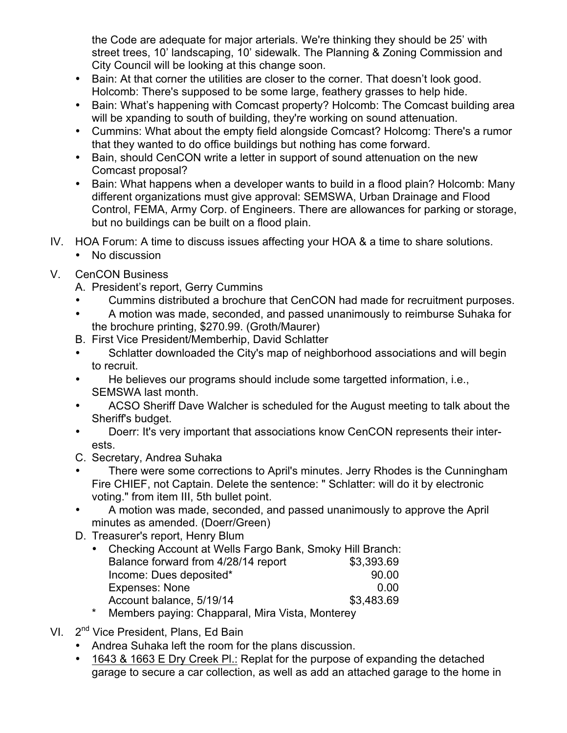the Code are adequate for major arterials. We're thinking they should be 25' with street trees, 10' landscaping, 10' sidewalk. The Planning & Zoning Commission and City Council will be looking at this change soon.

- Bain: At that corner the utilities are closer to the corner. That doesn't look good. Holcomb: There's supposed to be some large, feathery grasses to help hide.
- Bain: What's happening with Comcast property? Holcomb: The Comcast building area will be xpanding to south of building, they're working on sound attenuation.
- Cummins: What about the empty field alongside Comcast? Holcomg: There's a rumor that they wanted to do office buildings but nothing has come forward.
- Bain, should CenCON write a letter in support of sound attenuation on the new Comcast proposal?
- Bain: What happens when a developer wants to build in a flood plain? Holcomb: Many different organizations must give approval: SEMSWA, Urban Drainage and Flood Control, FEMA, Army Corp. of Engineers. There are allowances for parking or storage, but no buildings can be built on a flood plain.
- IV. HOA Forum: A time to discuss issues affecting your HOA & a time to share solutions.
	- No discussion
- V. CenCON Business
	- A. President's report, Gerry Cummins
	- Cummins distributed a brochure that CenCON had made for recruitment purposes.
	- A motion was made, seconded, and passed unanimously to reimburse Suhaka for the brochure printing, \$270.99. (Groth/Maurer)
	- B. First Vice President/Memberhip, David Schlatter
	- Schlatter downloaded the City's map of neighborhood associations and will begin to recruit.
	- He believes our programs should include some targetted information, i.e., SEMSWA last month.
	- ACSO Sheriff Dave Walcher is scheduled for the August meeting to talk about the Sheriff's budget.
	- Doerr: It's very important that associations know CenCON represents their interests.
	- C. Secretary, Andrea Suhaka
	- There were some corrections to April's minutes. Jerry Rhodes is the Cunningham Fire CHIEF, not Captain. Delete the sentence: " Schlatter: will do it by electronic voting." from item III, 5th bullet point.
	- A motion was made, seconded, and passed unanimously to approve the April minutes as amended. (Doerr/Green)
	- D. Treasurer's report, Henry Blum
		- Checking Account at Wells Fargo Bank, Smoky Hill Branch: Balance forward from 4/28/14 report \$3,393.69 Income: Dues deposited\* 90.00 Expenses: None 0.00 Account balance, 5/19/14 \$3,483.69
		- \* Members paying: Chapparal, Mira Vista, Monterey
- VI. 2<sup>nd</sup> Vice President, Plans, Ed Bain
	- Andrea Suhaka left the room for the plans discussion.
	- 1643 & 1663 E Dry Creek Pl.: Replat for the purpose of expanding the detached garage to secure a car collection, as well as add an attached garage to the home in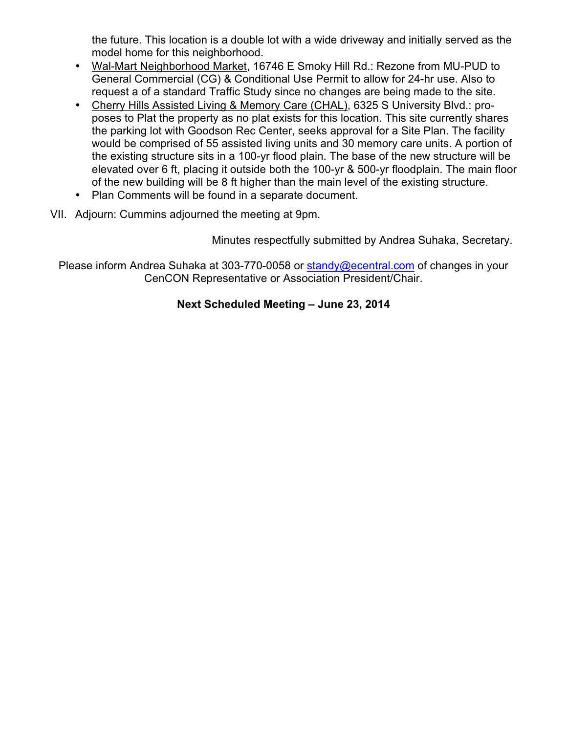the future. This location is a double lot with a wide driveway and initially served as the model home for this neighborhood.

- Wal-Mart Neighborhood Market, 16746 E Smoky Hill Rd.: Rezone from MU-PUD to General Commercial (CG) & Conditional Use Permit to allow for 24-hr use. Also to request a of a standard Traffic Study since no changes are being made to the site.
- Cherry Hills Assisted Living & Memory Care (CHAL), 6325 S University Blvd.: proposes to Plat the property as no plat exists for this location. This site currently shares the parking lot with Goodson Rec Center, seeks approval for a Site Plan. The facility would be comprised of 55 assisted living units and 30 memory care units. A portion of the existing structure sits in a 100-yr flood plain. The base of the new structure will be elevated over 6 ft, placing it outside both the 100-yr & 500-yr floodplain. The main floor of the new building will be 8 ft higher than the main level of the existing structure.
- Plan Comments will be found in a separate document.
- VII. Adjourn: Cummins adjourned the meeting at 9pm.

Minutes respectfully submitted by Andrea Suhaka, Secretary.

Please inform Andrea Suhaka at 303-770-0058 or standy@ecentral.com of changes in your CenCON Representative or Association President/Chair.

### **Next Scheduled Meeting – June 23, 2014**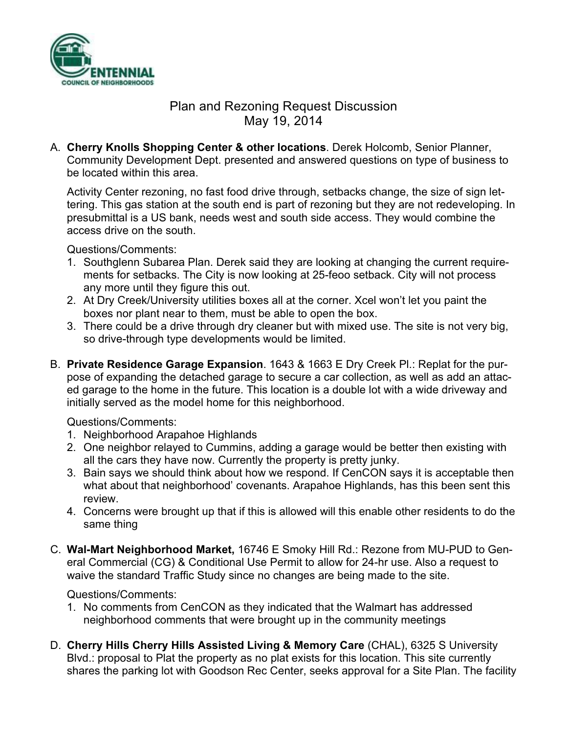

# Plan and Rezoning Request Discussion May 19, 2014

A. **Cherry Knolls Shopping Center & other locations**. Derek Holcomb, Senior Planner, Community Development Dept. presented and answered questions on type of business to be located within this area.

Activity Center rezoning, no fast food drive through, setbacks change, the size of sign lettering. This gas station at the south end is part of rezoning but they are not redeveloping. In presubmittal is a US bank, needs west and south side access. They would combine the access drive on the south.

Questions/Comments:

- 1. Southglenn Subarea Plan. Derek said they are looking at changing the current requirements for setbacks. The City is now looking at 25-feoo setback. City will not process any more until they figure this out.
- 2. At Dry Creek/University utilities boxes all at the corner. Xcel won't let you paint the boxes nor plant near to them, must be able to open the box.
- 3. There could be a drive through dry cleaner but with mixed use. The site is not very big, so drive-through type developments would be limited.
- B. **Private Residence Garage Expansion**. 1643 & 1663 E Dry Creek Pl.: Replat for the purpose of expanding the detached garage to secure a car collection, as well as add an attaced garage to the home in the future. This location is a double lot with a wide driveway and initially served as the model home for this neighborhood.

Questions/Comments:

- 1. Neighborhood Arapahoe Highlands
- 2. One neighbor relayed to Cummins, adding a garage would be better then existing with all the cars they have now. Currently the property is pretty junky.
- 3. Bain says we should think about how we respond. If CenCON says it is acceptable then what about that neighborhood' covenants. Arapahoe Highlands, has this been sent this review.
- 4. Concerns were brought up that if this is allowed will this enable other residents to do the same thing
- C. **Wal-Mart Neighborhood Market,** 16746 E Smoky Hill Rd.: Rezone from MU-PUD to General Commercial (CG) & Conditional Use Permit to allow for 24-hr use. Also a request to waive the standard Traffic Study since no changes are being made to the site.

Questions/Comments:

- 1. No comments from CenCON as they indicated that the Walmart has addressed neighborhood comments that were brought up in the community meetings
- D. **Cherry Hills Cherry Hills Assisted Living & Memory Care** (CHAL), 6325 S University Blvd.: proposal to Plat the property as no plat exists for this location. This site currently shares the parking lot with Goodson Rec Center, seeks approval for a Site Plan. The facility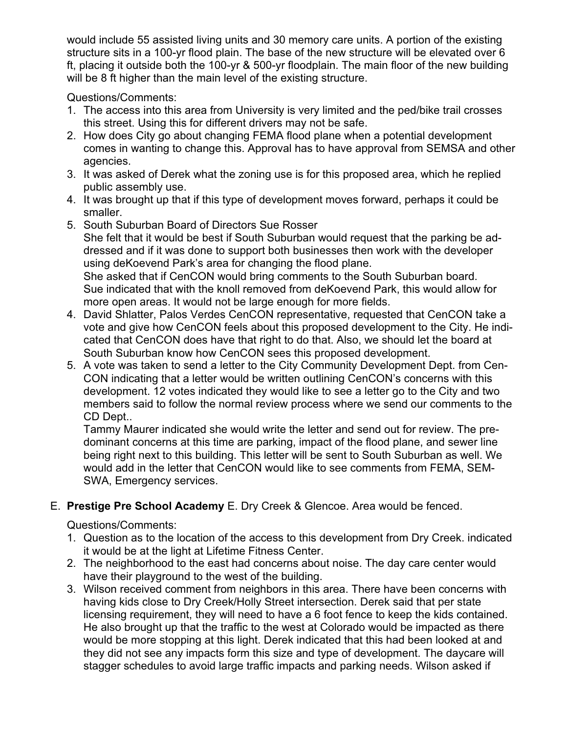would include 55 assisted living units and 30 memory care units. A portion of the existing structure sits in a 100-yr flood plain. The base of the new structure will be elevated over 6 ft, placing it outside both the 100-yr & 500-yr floodplain. The main floor of the new building will be 8 ft higher than the main level of the existing structure.

Questions/Comments:

- 1. The access into this area from University is very limited and the ped/bike trail crosses this street. Using this for different drivers may not be safe.
- 2. How does City go about changing FEMA flood plane when a potential development comes in wanting to change this. Approval has to have approval from SEMSA and other agencies.
- 3. It was asked of Derek what the zoning use is for this proposed area, which he replied public assembly use.
- 4. It was brought up that if this type of development moves forward, perhaps it could be smaller.
- 5. South Suburban Board of Directors Sue Rosser She felt that it would be best if South Suburban would request that the parking be addressed and if it was done to support both businesses then work with the developer using deKoevend Park's area for changing the flood plane. She asked that if CenCON would bring comments to the South Suburban board. Sue indicated that with the knoll removed from deKoevend Park, this would allow for more open areas. It would not be large enough for more fields.
- 4. David Shlatter, Palos Verdes CenCON representative, requested that CenCON take a vote and give how CenCON feels about this proposed development to the City. He indicated that CenCON does have that right to do that. Also, we should let the board at South Suburban know how CenCON sees this proposed development.
- 5. A vote was taken to send a letter to the City Community Development Dept. from Cen-CON indicating that a letter would be written outlining CenCON's concerns with this development. 12 votes indicated they would like to see a letter go to the City and two members said to follow the normal review process where we send our comments to the CD Dept..

Tammy Maurer indicated she would write the letter and send out for review. The predominant concerns at this time are parking, impact of the flood plane, and sewer line being right next to this building. This letter will be sent to South Suburban as well. We would add in the letter that CenCON would like to see comments from FEMA, SEM-SWA, Emergency services.

## E. **Prestige Pre School Academy** E. Dry Creek & Glencoe. Area would be fenced.

Questions/Comments:

- 1. Question as to the location of the access to this development from Dry Creek. indicated it would be at the light at Lifetime Fitness Center.
- 2. The neighborhood to the east had concerns about noise. The day care center would have their playground to the west of the building.
- 3. Wilson received comment from neighbors in this area. There have been concerns with having kids close to Dry Creek/Holly Street intersection. Derek said that per state licensing requirement, they will need to have a 6 foot fence to keep the kids contained. He also brought up that the traffic to the west at Colorado would be impacted as there would be more stopping at this light. Derek indicated that this had been looked at and they did not see any impacts form this size and type of development. The daycare will stagger schedules to avoid large traffic impacts and parking needs. Wilson asked if